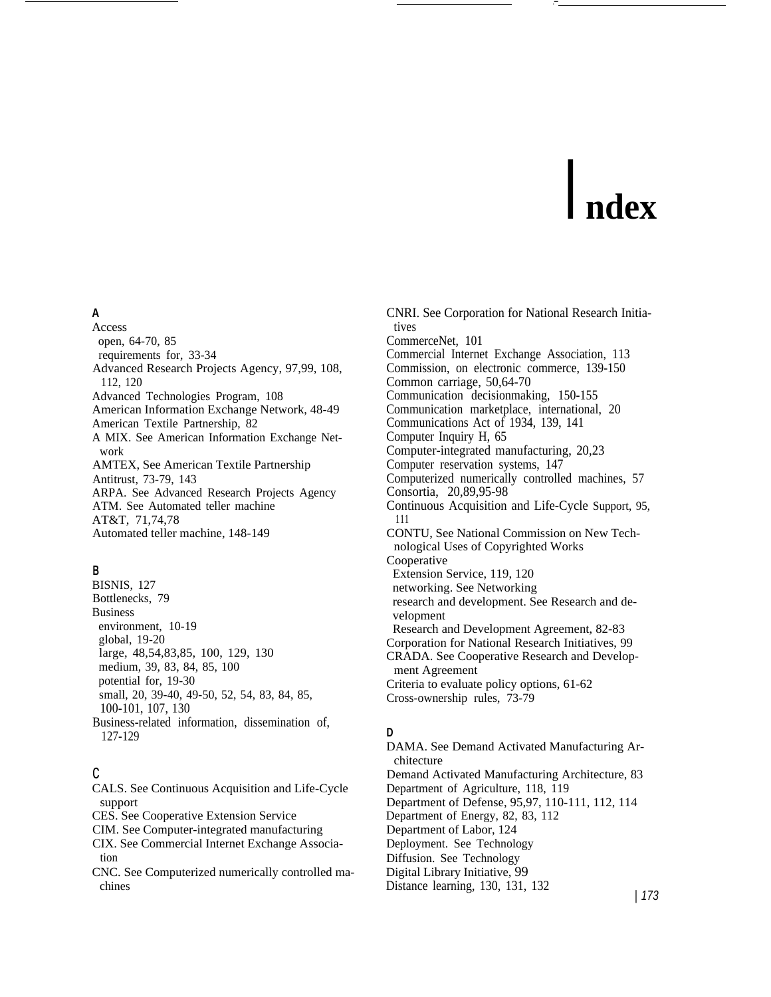# I **ndex**

# **A**

Access open, 64-70, 85 requirements for, 33-34 Advanced Research Projects Agency, 97,99, 108, 112, 120 Advanced Technologies Program, 108 American Information Exchange Network, 48-49 American Textile Partnership, 82 A MIX. See American Information Exchange Network AMTEX, See American Textile Partnership Antitrust, 73-79, 143 ARPA. See Advanced Research Projects Agency ATM. See Automated teller machine AT&T, 71,74,78 Automated teller machine, 148-149

# **B**

BISNIS, 127 Bottlenecks, 79 Business environment, 10-19 global, 19-20 large, 48,54,83,85, 100, 129, 130 medium, 39, 83, 84, 85, 100 potential for, 19-30 small, 20, 39-40, 49-50, 52, 54, 83, 84, 85, 100-101, 107, 130 Business-related information, dissemination of, 127-129

# c

CALS. See Continuous Acquisition and Life-Cycle support CES. See Cooperative Extension Service CIM. See Computer-integrated manufacturing CIX. See Commercial Internet Exchange Association

CNC. See Computerized numerically controlled machines

CNRI. See Corporation for National Research Initiatives CommerceNet, 101 Commercial Internet Exchange Association, 113 Commission, on electronic commerce, 139-150 Common carriage, 50,64-70 Communication decisionmaking, 150-155 Communication marketplace, international, 20 Communications Act of 1934, 139, 141 Computer Inquiry H, 65 Computer-integrated manufacturing, 20,23 Computer reservation systems, 147 Computerized numerically controlled machines, 57 Consortia, 20,89,95-98 Continuous Acquisition and Life-Cycle Support, 95, 111 CONTU, See National Commission on New Technological Uses of Copyrighted Works Cooperative Extension Service, 119, 120 networking. See Networking research and development. See Research and development Research and Development Agreement, 82-83 Corporation for National Research Initiatives, 99 CRADA. See Cooperative Research and Development Agreement Criteria to evaluate policy options, 61-62 Cross-ownership rules, 73-79

## **D**

DAMA. See Demand Activated Manufacturing Architecture Demand Activated Manufacturing Architecture, 83 Department of Agriculture, 118, 119 Department of Defense, 95,97, 110-111, 112, 114 Department of Energy, 82, 83, 112 Department of Labor, 124 Deployment. See Technology Diffusion. See Technology Digital Library Initiative, 99 Distance learning, 130, 131, 132 | 173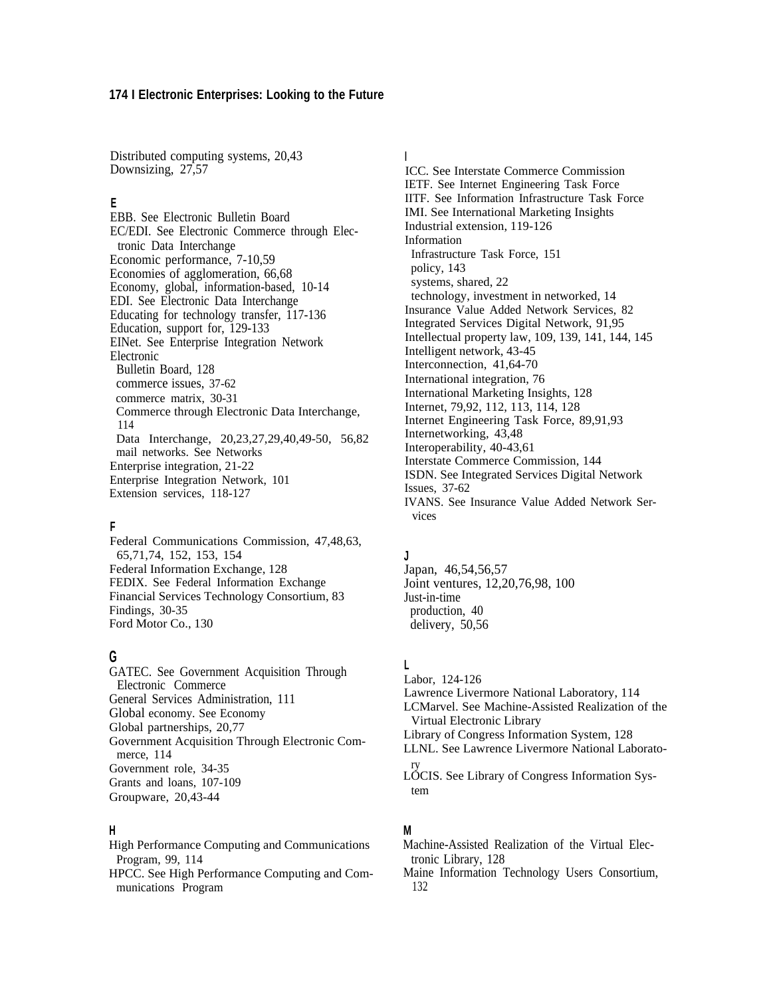Distributed computing systems, 20,43 Downsizing, 27,57

## **E**

EBB. See Electronic Bulletin Board EC/EDI. See Electronic Commerce through Electronic Data Interchange Economic performance, 7-10,59 Economies of agglomeration, 66,68 Economy, global, information-based, 10-14 EDI. See Electronic Data Interchange Educating for technology transfer, 117-136 Education, support for, 129-133 EINet. See Enterprise Integration Network Electronic Bulletin Board, 128 commerce issues, 37-62 commerce matrix, 30-31 Commerce through Electronic Data Interchange, 114 Data Interchange, 20,23,27,29,40,49-50, 56,82 mail networks. See Networks Enterprise integration, 21-22 Enterprise Integration Network, 101 Extension services, 118-127

## **F**

Federal Communications Commission, 47,48,63, 65,71,74, 152, 153, 154 Federal Information Exchange, 128 FEDIX. See Federal Information Exchange Financial Services Technology Consortium, 83 Findings, 30-35 Ford Motor Co., 130

# **G**

GATEC. See Government Acquisition Through Electronic Commerce General Services Administration, 111 Global economy. See Economy Global partnerships, 20,77 Government Acquisition Through Electronic Commerce, 114 Government role, 34-35 Grants and loans, 107-109 Groupware, 20,43-44

## **H**

High Performance Computing and Communications Program, 99, 114

HPCC. See High Performance Computing and Communications Program

# **I**

ICC. See Interstate Commerce Commission IETF. See Internet Engineering Task Force IITF. See Information Infrastructure Task Force IMI. See International Marketing Insights Industrial extension, 119-126 Information Infrastructure Task Force, 151 policy, 143 systems, shared, 22 technology, investment in networked, 14 Insurance Value Added Network Services, 82 Integrated Services Digital Network, 91,95 Intellectual property law, 109, 139, 141, 144, 145 Intelligent network, 43-45 Interconnection, 41,64-70 International integration, 76 International Marketing Insights, 128 Internet, 79,92, 112, 113, 114, 128 Internet Engineering Task Force, 89,91,93 Internetworking, 43,48 Interoperability, 40-43,61 Interstate Commerce Commission, 144 ISDN. See Integrated Services Digital Network Issues, 37-62 IVANS. See Insurance Value Added Network Services

# **J**

Japan, 46,54,56,57 Joint ventures, 12,20,76,98, 100 Just-in-time production, 40 delivery, 50,56

## **L**

Labor, 124-126 Lawrence Livermore National Laboratory, 114 LCMarvel. See Machine-Assisted Realization of the Virtual Electronic Library Library of Congress Information System, 128 LLNL. See Lawrence Livermore National Laboratory LOCIS. See Library of Congress Information System

# **M**

Machine-Assisted Realization of the Virtual Electronic Library, 128

Maine Information Technology Users Consortium, 132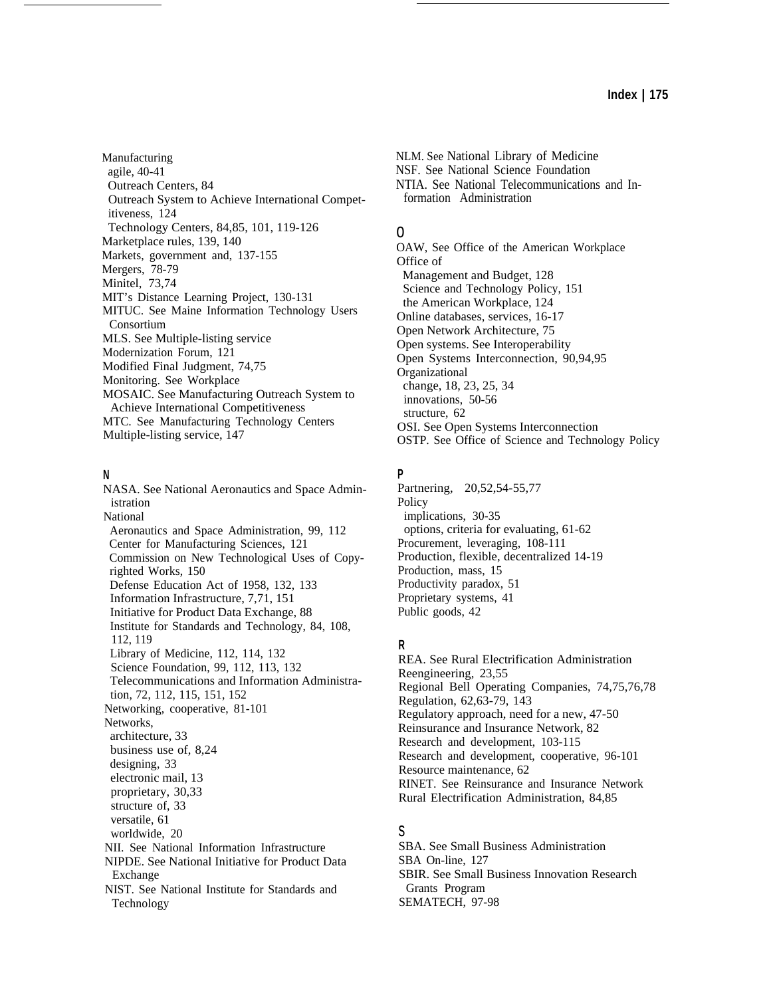Manufacturing agile, 40-41 Outreach Centers, 84 Outreach System to Achieve International Competitiveness, 124 Technology Centers, 84,85, 101, 119-126 Marketplace rules, 139, 140 Markets, government and, 137-155 Mergers, 78-79 Minitel, 73,74 MIT's Distance Learning Project, 130-131 MITUC. See Maine Information Technology Users Consortium MLS. See Multiple-listing service Modernization Forum, 121 Modified Final Judgment, 74,75 Monitoring. See Workplace MOSAIC. See Manufacturing Outreach System to Achieve International Competitiveness MTC. See Manufacturing Technology Centers Multiple-listing service, 147

## **N**

NASA. See National Aeronautics and Space Administration National Aeronautics and Space Administration, 99, 112 Center for Manufacturing Sciences, 121 Commission on New Technological Uses of Copyrighted Works, 150 Defense Education Act of 1958, 132, 133 Information Infrastructure, 7,71, 151 Initiative for Product Data Exchange, 88 Institute for Standards and Technology, 84, 108, 112, 119 Library of Medicine, 112, 114, 132 Science Foundation, 99, 112, 113, 132 Telecommunications and Information Administration, 72, 112, 115, 151, 152 Networking, cooperative, 81-101 Networks, architecture, 33 business use of, 8,24 designing, 33 electronic mail, 13 proprietary, 30,33 structure of, 33 versatile, 61 worldwide, 20 NII. See National Information Infrastructure NIPDE. See National Initiative for Product Data Exchange NIST. See National Institute for Standards and Technology

NLM. See National Library of Medicine NSF. See National Science Foundation NTIA. See National Telecommunications and Information Administration

# o

OAW, See Office of the American Workplace Office of Management and Budget, 128 Science and Technology Policy, 151 the American Workplace, 124 Online databases, services, 16-17 Open Network Architecture, 75 Open systems. See Interoperability Open Systems Interconnection, 90,94,95 Organizational change, 18, 23, 25, 34 innovations, 50-56 structure, 62 OSI. See Open Systems Interconnection OSTP. See Office of Science and Technology Policy

# **P**

Partnering, 20,52,54-55,77 Policy implications, 30-35 options, criteria for evaluating, 61-62 Procurement, leveraging, 108-111 Production, flexible, decentralized 14-19 Production, mass, 15 Productivity paradox, 51 Proprietary systems, 41 Public goods, 42

## **R**

REA. See Rural Electrification Administration Reengineering, 23,55 Regional Bell Operating Companies, 74,75,76,78 Regulation, 62,63-79, 143 Regulatory approach, need for a new, 47-50 Reinsurance and Insurance Network, 82 Research and development, 103-115 Research and development, cooperative, 96-101 Resource maintenance, 62 RINET. See Reinsurance and Insurance Network Rural Electrification Administration, 84,85

## s

SBA. See Small Business Administration SBA On-line, 127 SBIR. See Small Business Innovation Research Grants Program SEMATECH, 97-98